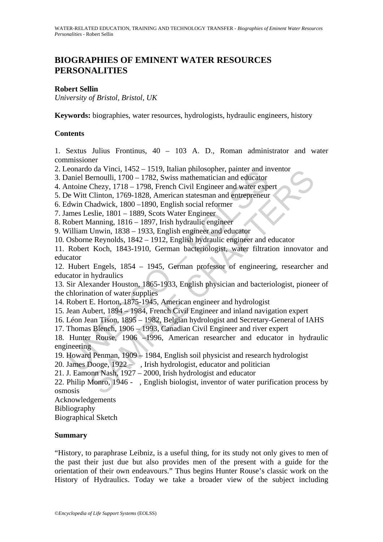# **BIOGRAPHIES OF EMINENT WATER RESOURCES PERSONALITIES**

# **Robert Sellin**

*University of Bristol, Bristol, UK* 

**Keywords:** biographies, water resources, hydrologists, hydraulic engineers, history

# **Contents**

1. Sextus Julius Frontinus, 40 – 103 A. D., Roman administrator and water commissioner

- 2. Leonardo da Vinci, 1452 1519, Italian philosopher, painter and inventor
- 3. Daniel Bernoulli, 1700 1782, Swiss mathematician and educator
- 4. Antoine Chezy, 1718 1798, French Civil Engineer and water expert
- 5. De Witt Clinton, 1769-1828, American statesman and entrepreneur
- 6. Edwin Chadwick, 1800 –1890, English social reformer
- 7. James Leslie, 1801 1889, Scots Water Engineer
- 8. Robert Manning, 1816 1897, Irish hydraulic engineer

9. William Unwin, 1838 – 1933, English engineer and educator

10. Osborne Reynolds, 1842 – 1912, English hydraulic engineer and educator

eoniatio da Vinter, 14-92 – 1519, natampinisoppier, painter and in<br>anaiel Bernoulli, 1700 – 1782, Swiss mathematician and educator<br>anciel Bernoulli, 1700 – 1782, Swiss mathematician and educator<br>ancience Rezy, 1718 – 1798 11. Robert Koch, 1843-1910, German bacteriologist, water filtration innovator and educator

12. Hubert Engels, 1854 – 1945, German professor of engineering, researcher and educator in hydraulics

13. Sir Alexander Houston, 1865-1933, English physician and bacteriologist, pioneer of the chlorination of water supplies

- 14. Robert E. Horton, 1875-1945, American engineer and hydrologist
- 15. Jean Aubert, 1894 1984, French Civil Engineer and inland navigation expert
- 16. Léon Jean Tison, 1895 1982, Belgian hydrologist and Secretary-General of IAHS
- 17. Thomas Blench, 1906 1993, Canadian Civil Engineer and river expert

18. Hunter Rouse, 1906 –1996, American researcher and educator in hydraulic engineering

- 19. Howard Penman, 1909 1984, English soil physicist and research hydrologist
- 20. James Dooge,  $1922 \ldots$ , Irish hydrologist, educator and politician
- 21. J. Eamonn Nash, 1927 2000, Irish hydrologist and educator
- o aa vinci, 1452–1519, italian pulosopper, painter and inventor<br>bernoulli, 1700–1782, Swiss mathematician and educator<br>Chezy, 1718–1798, French Civil Engineer and water expert<br>Clinton, 1769-1828, American statesman and ent 22. Philip Monro, 1946 - , English biologist, inventor of water purification process by osmosis

Acknowledgements

Bibliography

Biographical Sketch

### **Summary**

"History, to paraphrase Leibniz, is a useful thing, for its study not only gives to men of the past their just due but also provides men of the present with a guide for the orientation of their own endeavours." Thus begins Hunter Rouse's classic work on the History of Hydraulics. Today we take a broader view of the subject including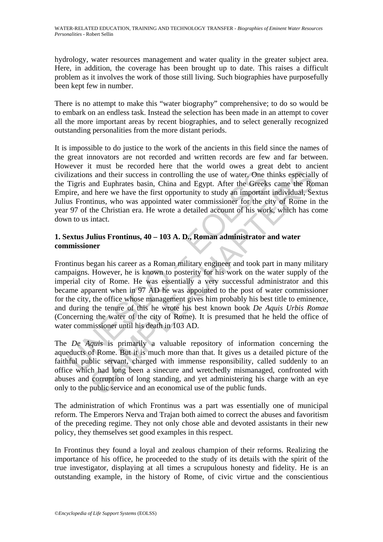hydrology, water resources management and water quality in the greater subject area. Here, in addition, the coverage has been brought up to date. This raises a difficult problem as it involves the work of those still living. Such biographies have purposefully been kept few in number.

There is no attempt to make this "water biography" comprehensive; to do so would be to embark on an endless task. Instead the selection has been made in an attempt to cover all the more important areas by recent biographies, and to select generally recognized outstanding personalities from the more distant periods.

It is impossible to do justice to the work of the ancients in this field since the names of the great innovators are not recorded and written records are few and far between. However it must be recorded here that the world owes a great debt to ancient civilizations and their success in controlling the use of water. One thinks especially of the Tigris and Euphrates basin, China and Egypt. After the Greeks came the Roman Empire, and here we have the first opportunity to study an important individual, Sextus Julius Frontinus, who was appointed water commissioner for the city of Rome in the year 97 of the Christian era. He wrote a detailed account of his work, which has come down to us intact.

# **1. Sextus Julius Frontinus, 40 – 103 A. D., Roman administrator and water commissioner**

dizations and their success in controlling the use of water. One the Tigris and Euphrates basin, China and Egypt. After the Greeks<br>bire, and here we have the first opportunity to study an important<br>as Frontinus, who was a is and their success in controlling the use of water. One thinks especiall<br>and Euphrates basin, China and Egypt. After the Greeks came the Ro<br>d here we have the first opportunity to study an important individual, See<br>thin Frontinus began his career as a Roman military engineer and took part in many military campaigns. However, he is known to posterity for his work on the water supply of the imperial city of Rome. He was essentially a very successful administrator and this became apparent when in 97 AD he was appointed to the post of water commissioner for the city, the office whose management gives him probably his best title to eminence, and during the tenure of this he wrote his best known book *De Aquis Urbis Romae* (Concerning the water of the city of Rome). It is presumed that he held the office of water commissioner until his death in 103 AD.

The *De Aquis* is primarily a valuable repository of information concerning the aqueducts of Rome. But it is much more than that. It gives us a detailed picture of the faithful public servant, charged with immense responsibility, called suddenly to an office which had long been a sinecure and wretchedly mismanaged, confronted with abuses and corruption of long standing, and yet administering his charge with an eye only to the public service and an economical use of the public funds.

The administration of which Frontinus was a part was essentially one of municipal reform. The Emperors Nerva and Trajan both aimed to correct the abuses and favoritism of the preceding regime. They not only chose able and devoted assistants in their new policy, they themselves set good examples in this respect.

In Frontinus they found a loyal and zealous champion of their reforms. Realizing the importance of his office, he proceeded to the study of its details with the spirit of the true investigator, displaying at all times a scrupulous honesty and fidelity. He is an outstanding example, in the history of Rome, of civic virtue and the conscientious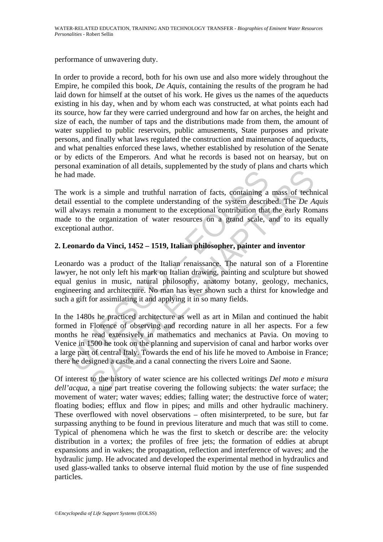performance of unwavering duty.

In order to provide a record, both for his own use and also more widely throughout the Empire, he compiled this book, *De Aquis*, containing the results of the program he had laid down for himself at the outset of his work. He gives us the names of the aqueducts existing in his day, when and by whom each was constructed, at what points each had its source, how far they were carried underground and how far on arches, the height and size of each, the number of taps and the distributions made from them, the amount of water supplied to public reservoirs, public amusements, State purposes and private persons, and finally what laws regulated the construction and maintenance of aqueducts, and what penalties enforced these laws, whether established by resolution of the Senate or by edicts of the Emperors. And what he records is based not on hearsay, but on personal examination of all details, supplemented by the study of plans and charts which he had made.

The work is a simple and truthful narration of facts, containing a mass of technical detail essential to the complete understanding of the system described. The *De Aquis*  will always remain a monument to the exceptional contribution that the early Romans made to the organization of water resources on a grand scale, and to its equally exceptional author.

# **2. Leonardo da Vinci, 1452 – 1519, Italian philosopher, painter and inventor**

Leonardo was a product of the Italian renaissance. The natural son of a Florentine lawyer, he not only left his mark on Italian drawing, painting and sculpture but showed equal genius in music, natural philosophy, anatomy botany, geology, mechanics, engineering and architecture. No man has ever shown such a thirst for knowledge and such a gift for assimilating it and applying it in so many fields.

and made.<br>
work is a simple and truthful narration of facts, containing a<br>
all essential to the complete understanding of the system describe<br>
always remain a monument to the exceptional contribution that<br>
he to the organi Let us a simple and truthful narration of facts, containing a mass of technical to the complete understanding of the system described. The *De A* s remain a monument to the exceptional contribution that the early Ron be o In the 1480s he practiced architecture as well as art in Milan and continued the habit formed in Florence of observing and recording nature in all her aspects. For a few months he read extensively in mathematics and mechanics at Pavia. On moving to Venice in 1500 he took on the planning and supervision of canal and harbor works over a large part of central Italy. Towards the end of his life he moved to Amboise in France; there he designed a castle and a canal connecting the rivers Loire and Saone.

Of interest to the history of water science are his collected writings *Del moto e misura dell'acqua*, a nine part treatise covering the following subjects: the water surface; the movement of water; water waves; eddies; falling water; the destructive force of water; floating bodies; efflux and flow in pipes; and mills and other hydraulic machinery. These overflowed with novel observations – often misinterpreted, to be sure, but far surpassing anything to be found in previous literature and much that was still to come. Typical of phenomena which he was the first to sketch or describe are: the velocity distribution in a vortex; the profiles of free jets; the formation of eddies at abrupt expansions and in wakes; the propagation, reflection and interference of waves; and the hydraulic jump. He advocated and developed the experimental method in hydraulics and used glass-walled tanks to observe internal fluid motion by the use of fine suspended particles.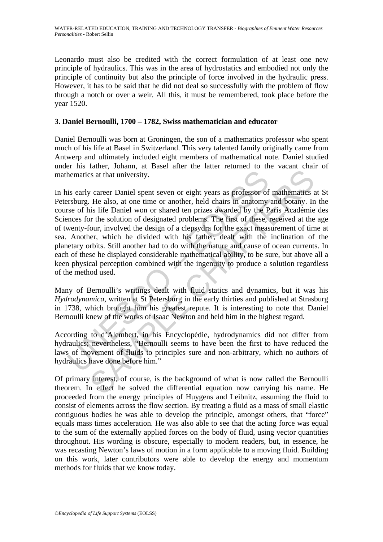Leonardo must also be credited with the correct formulation of at least one new principle of hydraulics. This was in the area of hydrostatics and embodied not only the principle of continuity but also the principle of force involved in the hydraulic press. However, it has to be said that he did not deal so successfully with the problem of flow through a notch or over a weir. All this, it must be remembered, took place before the year 1520.

# **3. Daniel Bernoulli, 1700 – 1782, Swiss mathematician and educator**

Daniel Bernoulli was born at Groningen, the son of a mathematics professor who spent much of his life at Basel in Switzerland. This very talented family originally came from Antwerp and ultimately included eight members of mathematical note. Daniel studied under his father, Johann, at Basel after the latter returned to the vacant chair of mathematics at that university.

hematics at that university.<br>
is early career Daniel spent seven or eight years as professor of<br>
is early career Daniel spent seven or eight years as professor of<br>
is uses, at one time or another, held chairs in anatomy<br>
s Solution and the background of the background of the Bernard Charlier Scheme and the set of the set of the set of the set of the set of the set of the set of the set of the set of the set of the set of the set of the set o In his early career Daniel spent seven or eight years as professor of mathematics at St Petersburg. He also, at one time or another, held chairs in anatomy and botany. In the course of his life Daniel won or shared ten prizes awarded by the Paris Académie des Sciences for the solution of designated problems. The first of these, received at the age of twenty-four, involved the design of a clepsydra for the exact measurement of time at sea. Another, which he divided with his father, dealt with the inclination of the planetary orbits. Still another had to do with the nature and cause of ocean currents. In each of these he displayed considerable mathematical ability, to be sure, but above all a keen physical perception combined with the ingenuity to produce a solution regardless of the method used.

Many of Bernoulli's writings dealt with fluid statics and dynamics, but it was his *Hydrodynamica*, written at St Petersburg in the early thirties and published at Strasburg in 1738, which brought him his greatest repute. It is interesting to note that Daniel Bernoulli knew of the works of Isaac Newton and held him in the highest regard.

According to d'Alembert, in his Encyclopédie, hydrodynamics did not differ from hydraulics; nevertheless, "Bernoulli seems to have been the first to have reduced the laws of movement of fluids to principles sure and non-arbitrary, which no authors of hydraulics have done before him."

Of primary interest, of course, is the background of what is now called the Bernoulli theorem. In effect he solved the differential equation now carrying his name. He proceeded from the energy principles of Huygens and Leibnitz, assuming the fluid to consist of elements across the flow section. By treating a fluid as a mass of small elastic contiguous bodies he was able to develop the principle, amongst others, that "force" equals mass times acceleration. He was also able to see that the acting force was equal to the sum of the externally applied forces on the body of fluid, using vector quantities throughout. His wording is obscure, especially to modern readers, but, in essence, he was recasting Newton's laws of motion in a form applicable to a moving fluid. Building on this work, later contributors were able to develop the energy and momentum methods for fluids that we know today.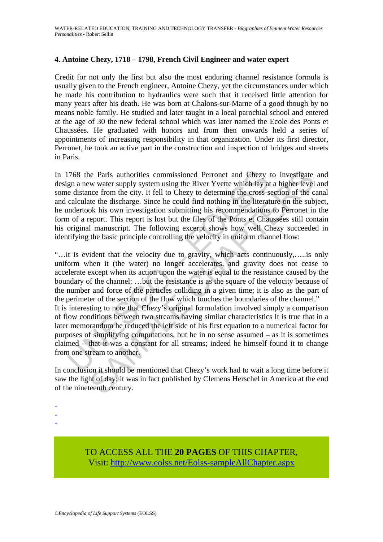# **4. Antoine Chezy, 1718 – 1798, French Civil Engineer and water expert**

Credit for not only the first but also the most enduring channel resistance formula is usually given to the French engineer, Antoine Chezy, yet the circumstances under which he made his contribution to hydraulics were such that it received little attention for many years after his death. He was born at Chalons-sur-Marne of a good though by no means noble family. He studied and later taught in a local parochial school and entered at the age of 30 the new federal school which was later named the Ecole des Ponts et Chaussées. He graduated with honors and from then onwards held a series of appointments of increasing responsibility in that organization. Under its first director, Perronet, he took an active part in the construction and inspection of bridges and streets in Paris.

In 1768 the Paris authorities commissioned Perronet and Chezy to investigate and design a new water supply system using the River Yvette which lay at a higher level and some distance from the city. It fell to Chezy to determine the cross-section of the canal and calculate the discharge. Since he could find nothing in the literature on the subject, he undertook his own investigation submitting his recommendations to Perronet in the form of a report. This report is lost but the files of the Ponts et Chaussées still contain his original manuscript. The following excerpt shows how well Chezy succeeded in identifying the basic principle controlling the velocity in uniform channel flow:

1768 the Paris authorities commissioned Perronet and Chezy<br>gn a new water supply system using the River Yvette which lay an<br>edistance from the city. It fell to Chezy to determine the cross-s<br>calculate the discharge. Since he Paris authorities commissioned Perronet and Chezy to investigate<br>w water supply system using the River Yvette which lay at a higher level<br>nce from the city. It fell to Chezy to determine the cross-section of the c<br>the t "…it is evident that the velocity due to gravity, which acts continuously,…..is only uniform when it (the water) no longer accelerates, and gravity does not cease to accelerate except when its action upon the water is equal to the resistance caused by the boundary of the channel; …but the resistance is as the square of the velocity because of the number and force of the particles colliding in a given time; it is also as the part of the perimeter of the section of the flow which touches the boundaries of the channel." It is interesting to note that Chezy's original formulation involved simply a comparison of flow conditions between two streams having similar characteristics It is true that in a later memorandum he reduced the left side of his first equation to a numerical factor for purposes of simplifying computations, but he in no sense assumed – as it is sometimes claimed – that it was a constant for all streams; indeed he himself found it to change from one stream to another.

In conclusion it should be mentioned that Chezy's work had to wait a long time before it saw the light of day; it was in fact published by Clemens Herschel in America at the end of the nineteenth century.

- -
- -
- -

TO ACCESS ALL THE **20 PAGES** OF THIS CHAPTER, Visit: [http://www.eolss.net/Eolss-sampleAllChapter.aspx](https://www.eolss.net/ebooklib/sc_cart.aspx?File=E2-23-01-01)